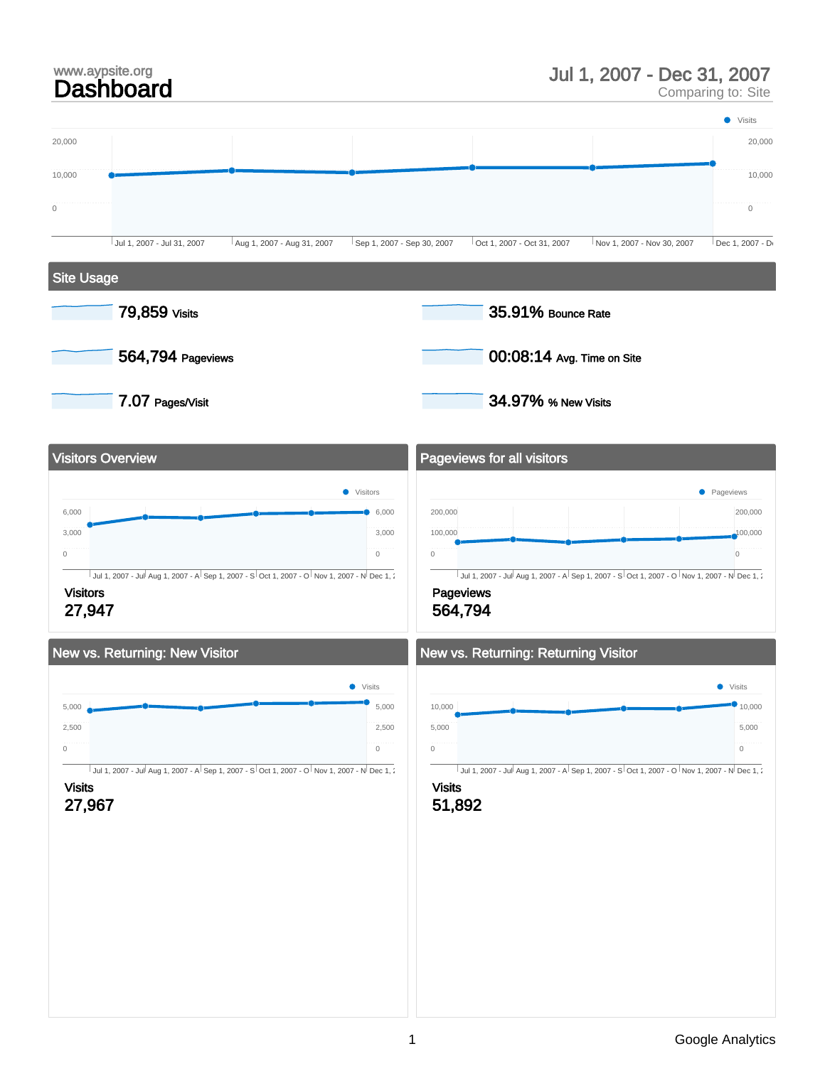### Jul 1, 2007 - Dec 31, 2007

Comparing to: Site

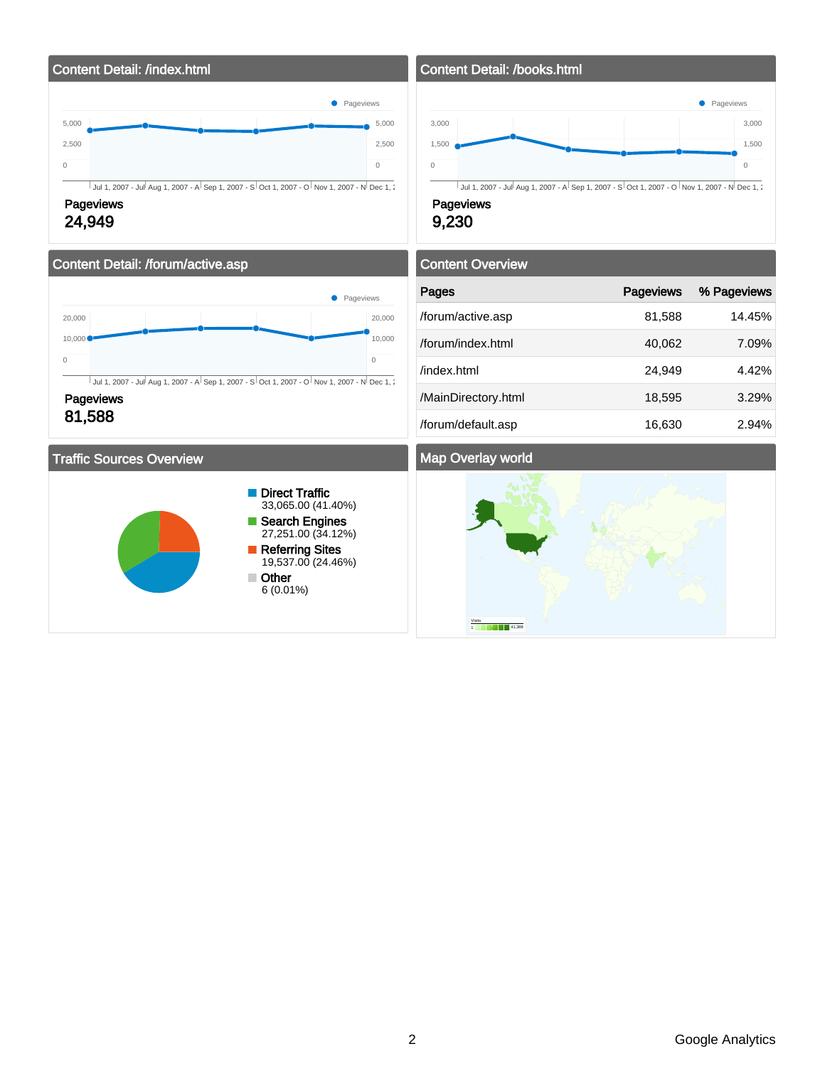

### Content Detail: /forum/active.asp



**Pageviews** 81,588

### Traffic Sources Overview



### Content Detail: /books.html



9,230

# Content Overview Pages **Pageviews** % Pageviews % Pageviews /forum/active.asp 81,588 14.45% /forum/index.html 40,062 7.09% /index.html 24,949 4.42% /MainDirectory.html 18,595 3.29%

### Map Overlay world



/forum/default.asp 16,630 2.94%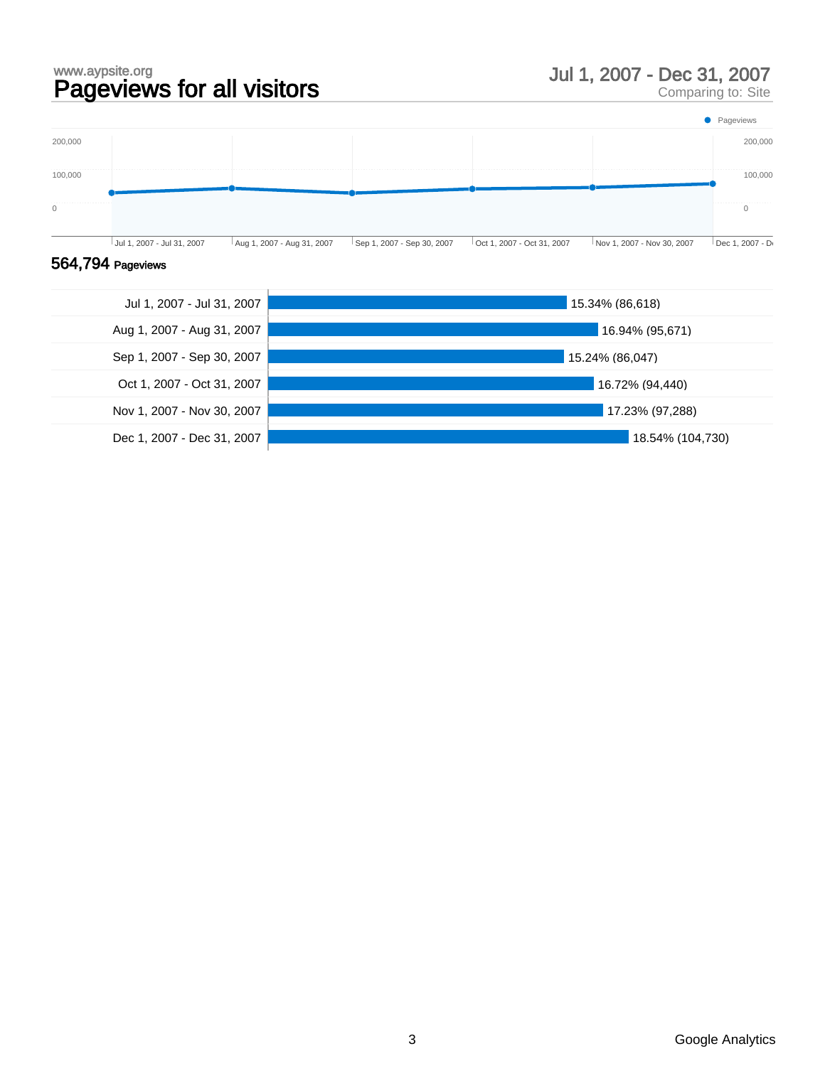# www.aypsite.org<br> **Pageviews for all visitors** and the state of the Uul 1, 2007 - Dec 31, 2007<br>
Dul 1, 2007 - Dec 31, 2007

Comparing to: Site



### 564,794 Pageviews

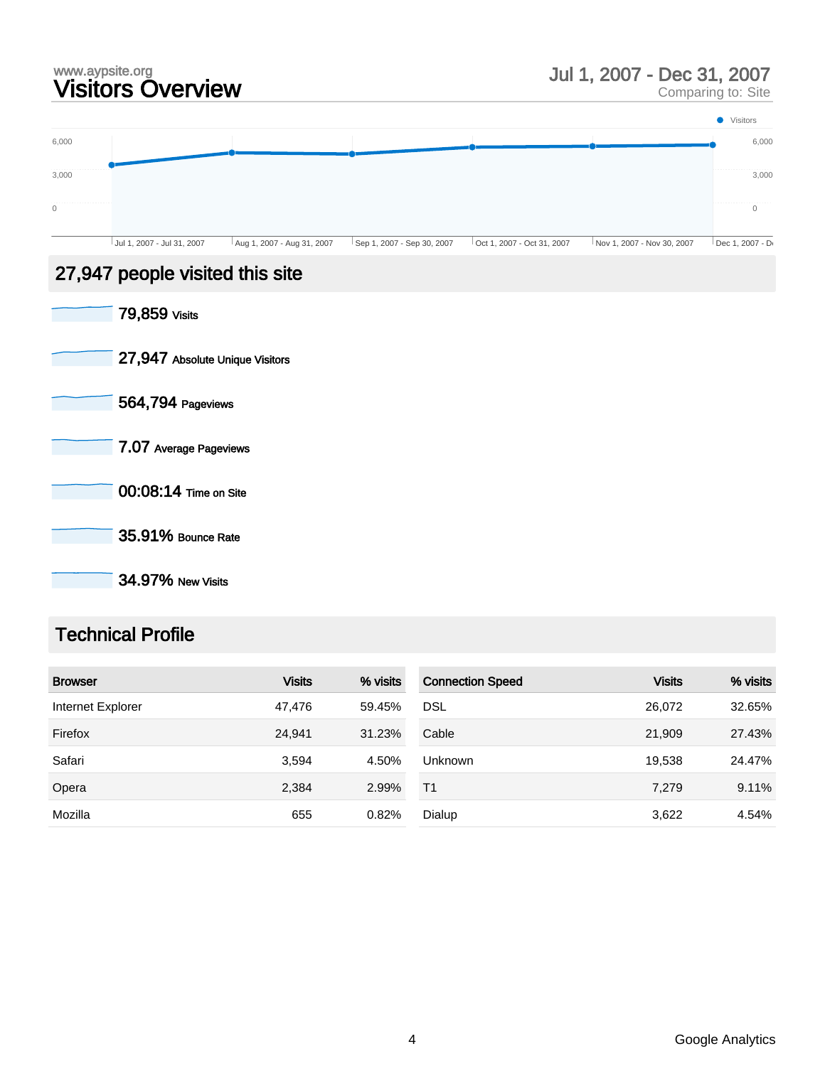# www.aypsite.org Visitors Overview Jul 1, 2007 - Dec 31, 2007

Comparing to: Site



35.91% Bounce Rate

34.97% New Visits

### Technical Profile

| <b>Browser</b>    | <b>Visits</b> | % visits | <b>Connection Speed</b> | <b>Visits</b> | % visits |
|-------------------|---------------|----------|-------------------------|---------------|----------|
| Internet Explorer | 47.476        | 59.45%   | <b>DSL</b>              | 26,072        | 32.65%   |
| Firefox           | 24,941        | 31.23%   | Cable                   | 21,909        | 27.43%   |
| Safari            | 3,594         | 4.50%    | <b>Unknown</b>          | 19,538        | 24.47%   |
| Opera             | 2,384         | 2.99%    | T <sub>1</sub>          | 7,279         | 9.11%    |
| Mozilla           | 655           | 0.82%    | Dialup                  | 3,622         | 4.54%    |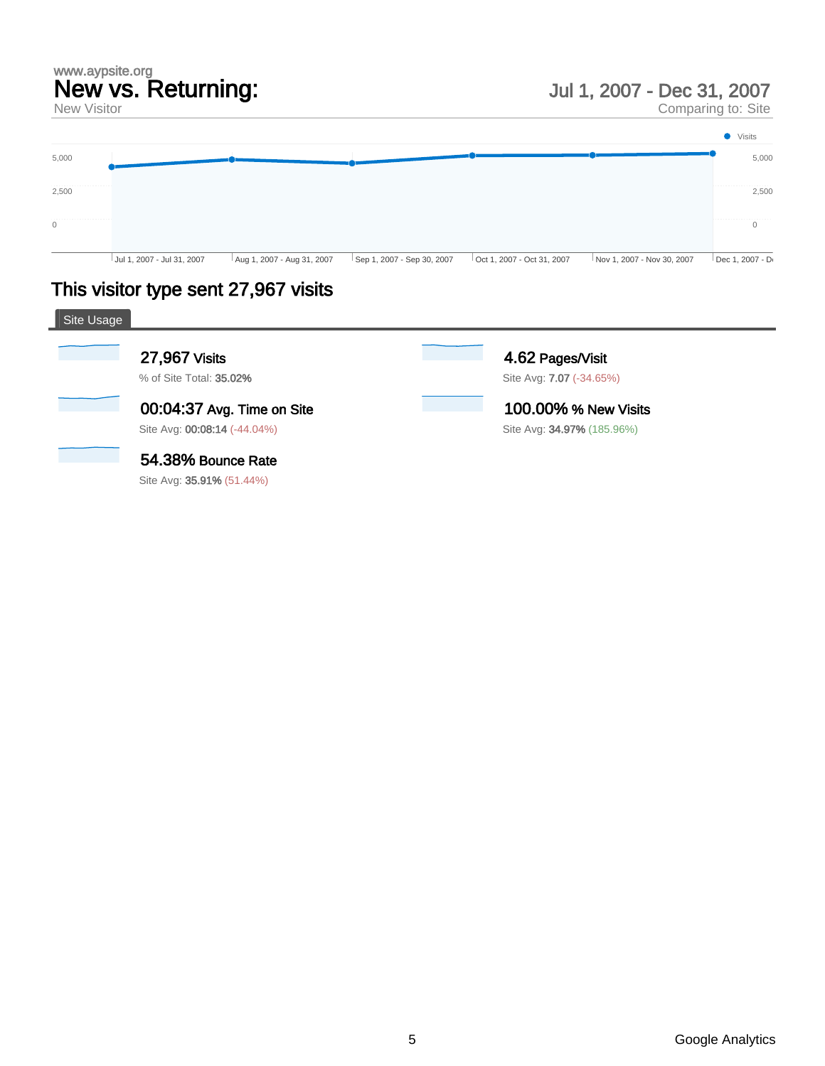# www.aypsite.org New vs. Returning:

New Visitor

Comparing to: Site



## This visitor type sent 27,967 visits

| Site Usage |                                  |                            |  |
|------------|----------------------------------|----------------------------|--|
|            | 27,967 Visits                    | 4.62 Pages/Visit           |  |
|            | % of Site Total: 35.02%          | Site Avg: 7.07 (-34.65%)   |  |
|            | 00:04:37 Avg. Time on Site       | 100.00% % New Visits       |  |
|            | Site Avg: 00:08:14 (-44.04%)     | Site Avg: 34.97% (185.96%) |  |
|            | 54.38% Bounce Rate               |                            |  |
|            | Site Avg: <b>35.91%</b> (51.44%) |                            |  |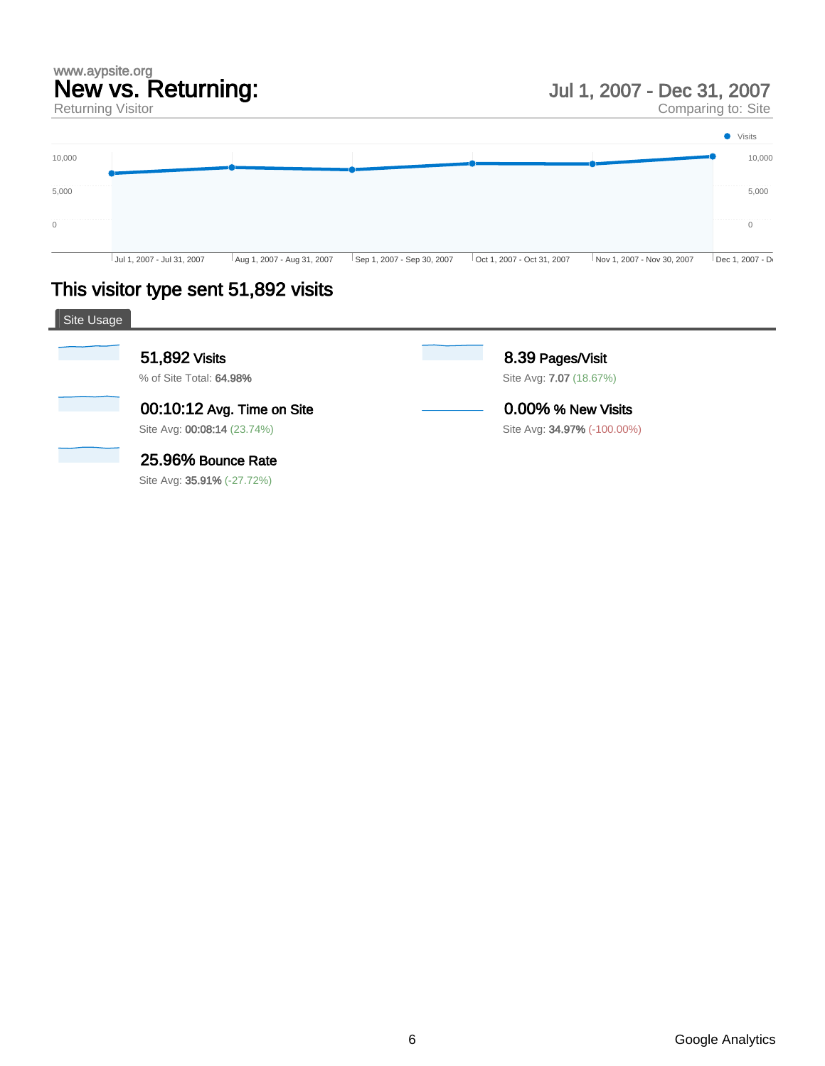# www.aypsite.org New vs. Returning:

Returning Visitor

Jul 1, 2007 - Dec 31, 2007

Comparing to: Site



# This visitor type sent 51,892 visits

| Site Usage |                                                           |                                                    |  |
|------------|-----------------------------------------------------------|----------------------------------------------------|--|
|            | 51,892 Visits<br>% of Site Total: 64.98%                  | 8.39 Pages/Visit<br>Site Avg: <b>7.07</b> (18.67%) |  |
|            | 00:10:12 Avg. Time on Site<br>Site Avg: 00:08:14 (23.74%) | 0.00% % New Visits<br>Site Avg: 34.97% (-100.00%)  |  |
|            | 25.96% Bounce Rate<br>Site Avg: 35.91% (-27.72%)          |                                                    |  |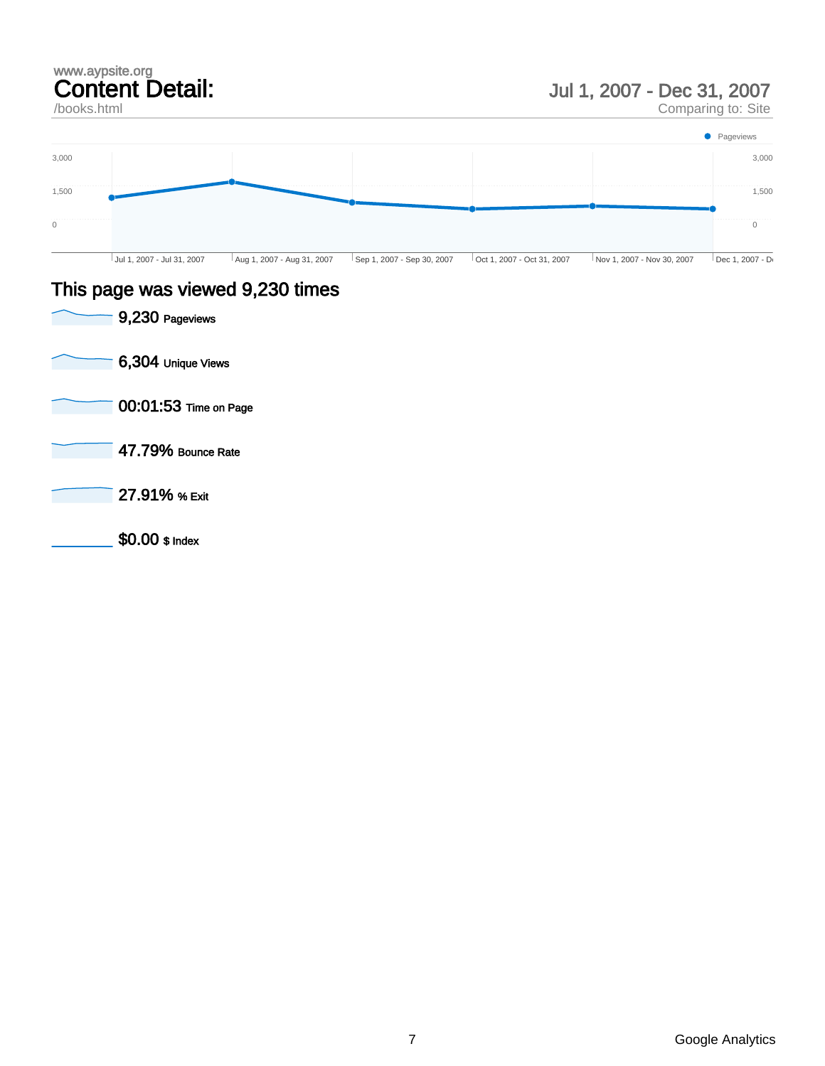### www.aypsite.org Content Detail:

### /books.html

## Jul 1, 2007 - Dec 31, 2007

Comparing to: Site



### This page was viewed 9,230 times

9,230 Pageviews 6,304 Unique Views 00:01:53 Time on Page 47.79% Bounce Rate 27.91% % Exit \$0.00 \$ Index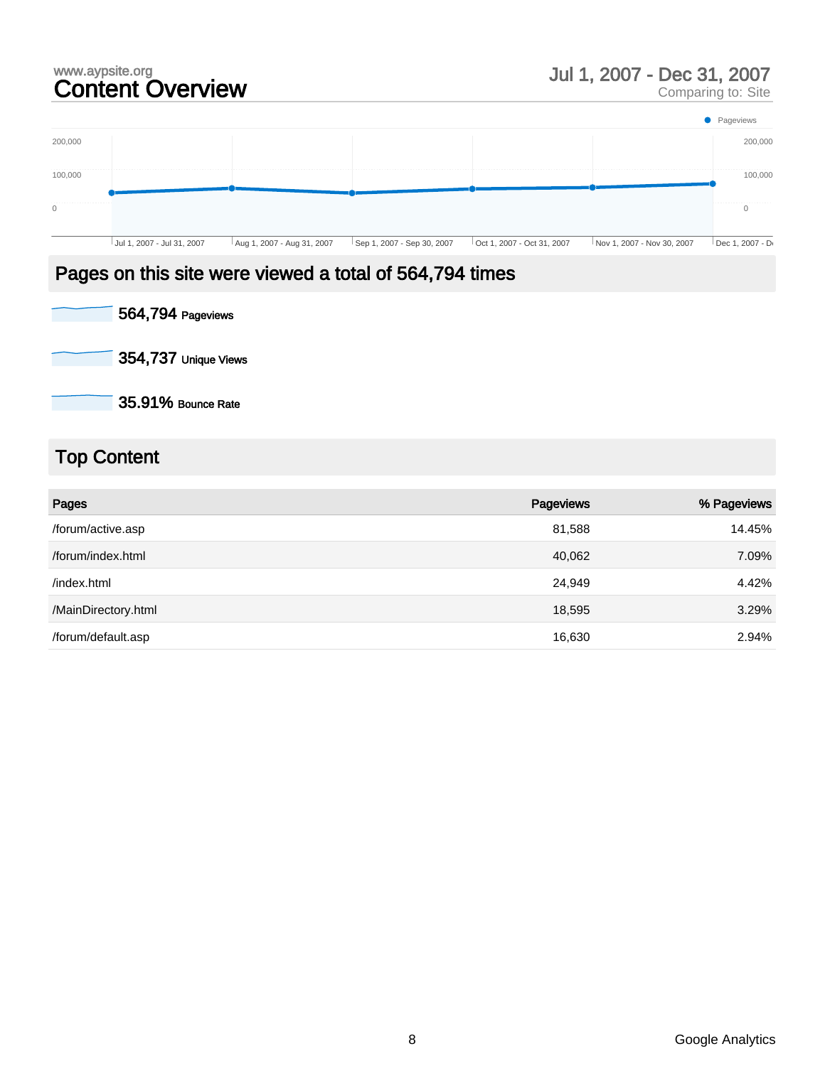# www.aypsite.org<br> **Content Overview Exercía Content Overview** Jul 1, 2007 - Dec 31, 2007<br>
Comparing to: Site

Comparing to: Site



### Pages on this site were viewed a total of 564,794 times

564,794 Pageviews

354,737 Unique Views

35.91% Bounce Rate

# Top Content

| Pages               | Pageviews | % Pageviews |
|---------------------|-----------|-------------|
| /forum/active.asp   | 81,588    | 14.45%      |
| /forum/index.html   | 40,062    | 7.09%       |
| /index.html         | 24,949    | 4.42%       |
| /MainDirectory.html | 18,595    | 3.29%       |
| /forum/default.asp  | 16,630    | 2.94%       |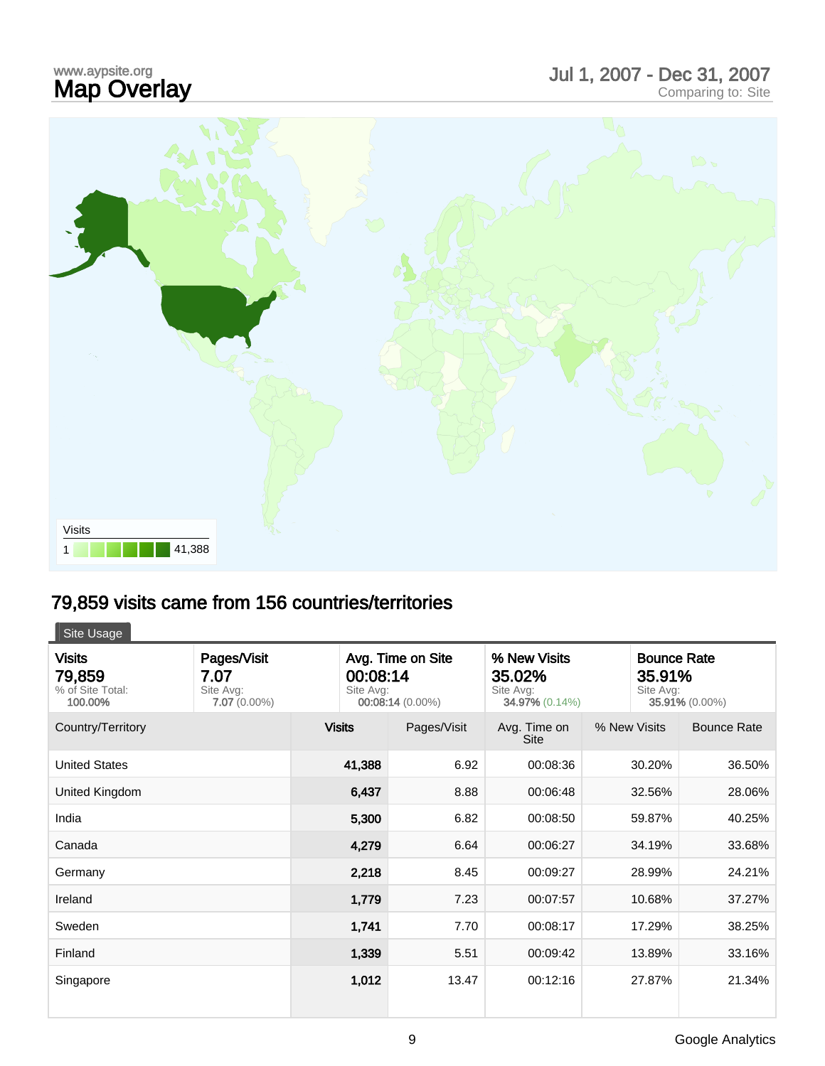# www.aypsite.org<br>**Map Overlay** www.aypsite.org<br> **Map Overlay Care and Science Comparing Comparing to: Site Map Overlay**



# 79,859 visits came from 156 countries/territories

| Site Usage                                             |                                                    |                                                                |             |                                                              |                                           |                    |
|--------------------------------------------------------|----------------------------------------------------|----------------------------------------------------------------|-------------|--------------------------------------------------------------|-------------------------------------------|--------------------|
| <b>Visits</b><br>79,859<br>% of Site Total:<br>100.00% | Pages/Visit<br>7.07<br>Site Avg:<br>$7.07(0.00\%)$ | Avg. Time on Site<br>00:08:14<br>Site Avg:<br>00:08:14 (0.00%) |             | % New Visits<br>35.02%<br>Site Avg:<br><b>34.97% (0.14%)</b> | <b>Bounce Rate</b><br>35.91%<br>Site Avg: | 35.91% (0.00%)     |
| Country/Territory                                      |                                                    | <b>Visits</b>                                                  | Pages/Visit | Avg. Time on<br><b>Site</b>                                  | % New Visits                              | <b>Bounce Rate</b> |
| <b>United States</b>                                   |                                                    | 41,388                                                         | 6.92        | 00:08:36                                                     | 30.20%                                    | 36.50%             |
| United Kingdom                                         |                                                    | 6,437                                                          | 8.88        | 00:06:48                                                     | 32.56%                                    | 28.06%             |
| India                                                  |                                                    | 5,300                                                          | 6.82        | 00:08:50                                                     | 59.87%                                    | 40.25%             |
| Canada                                                 |                                                    | 4,279                                                          | 6.64        | 00:06:27                                                     | 34.19%                                    | 33.68%             |
| Germany                                                |                                                    | 2,218                                                          | 8.45        | 00:09:27                                                     | 28.99%                                    | 24.21%             |
| Ireland                                                |                                                    | 1,779                                                          | 7.23        | 00:07:57                                                     | 10.68%                                    | 37.27%             |
| Sweden                                                 |                                                    | 1,741                                                          | 7.70        | 00:08:17                                                     | 17.29%                                    | 38.25%             |
| Finland                                                |                                                    | 1,339                                                          | 5.51        | 00:09:42                                                     | 13.89%                                    | 33.16%             |
| Singapore                                              |                                                    | 1,012                                                          | 13.47       | 00:12:16                                                     | 27.87%                                    | 21.34%             |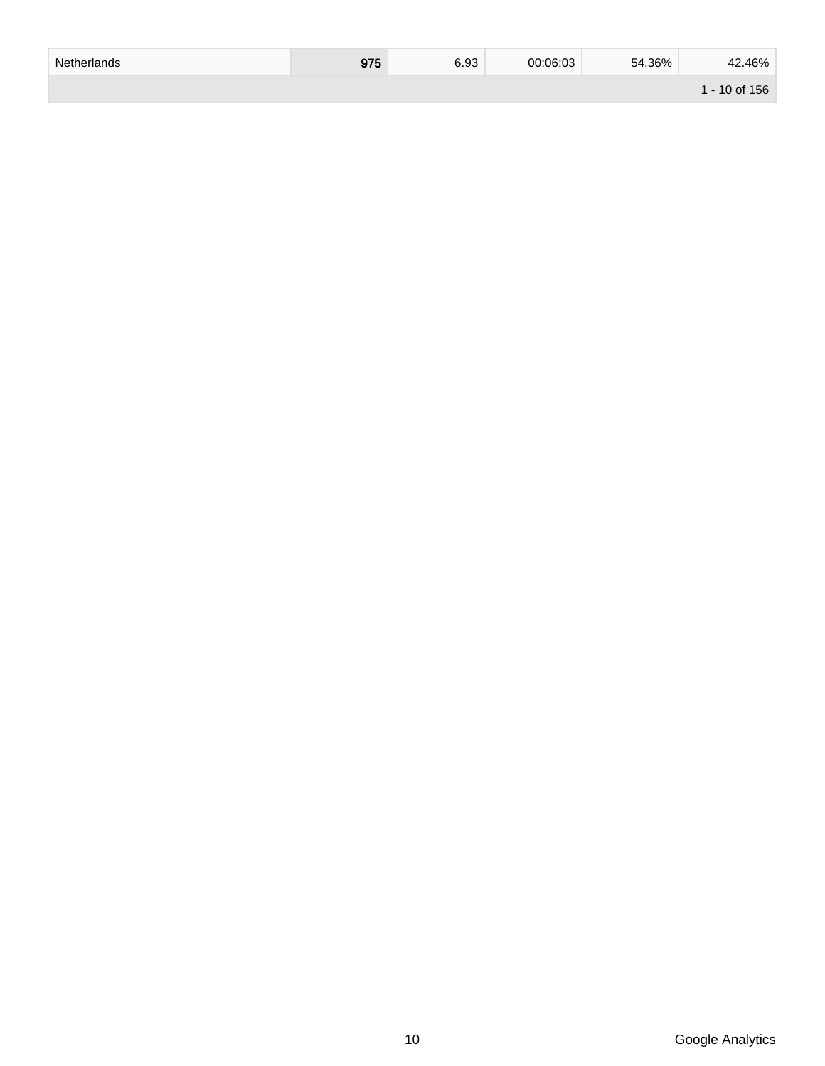| Netherlands | <b>075</b><br>ง เ ง | 6.93 | 00:06:03 | 54.36% | .46%<br>42  |
|-------------|---------------------|------|----------|--------|-------------|
|             |                     |      |          |        | - 10 of 156 |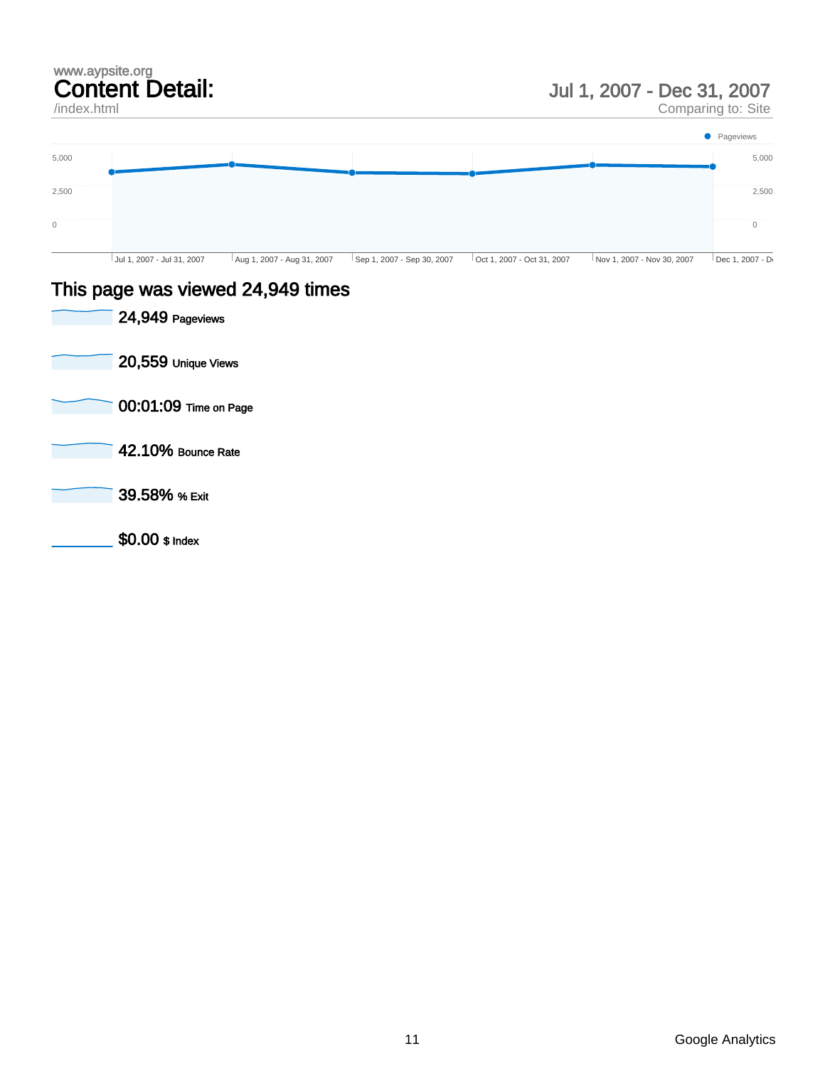### www.aypsite.org Content Detail:

/index.html

### Jul 1, 2007 - Dec 31, 2007

Comparing to: Site



### This page was viewed 24,949 times

| 24,949 Pageviews      |
|-----------------------|
| 20,559 Unique Views   |
| 00:01:09 Time on Page |
| 42.10% Bounce Rate    |
| 39.58% % Exit         |
| \$0.00 \$ Index       |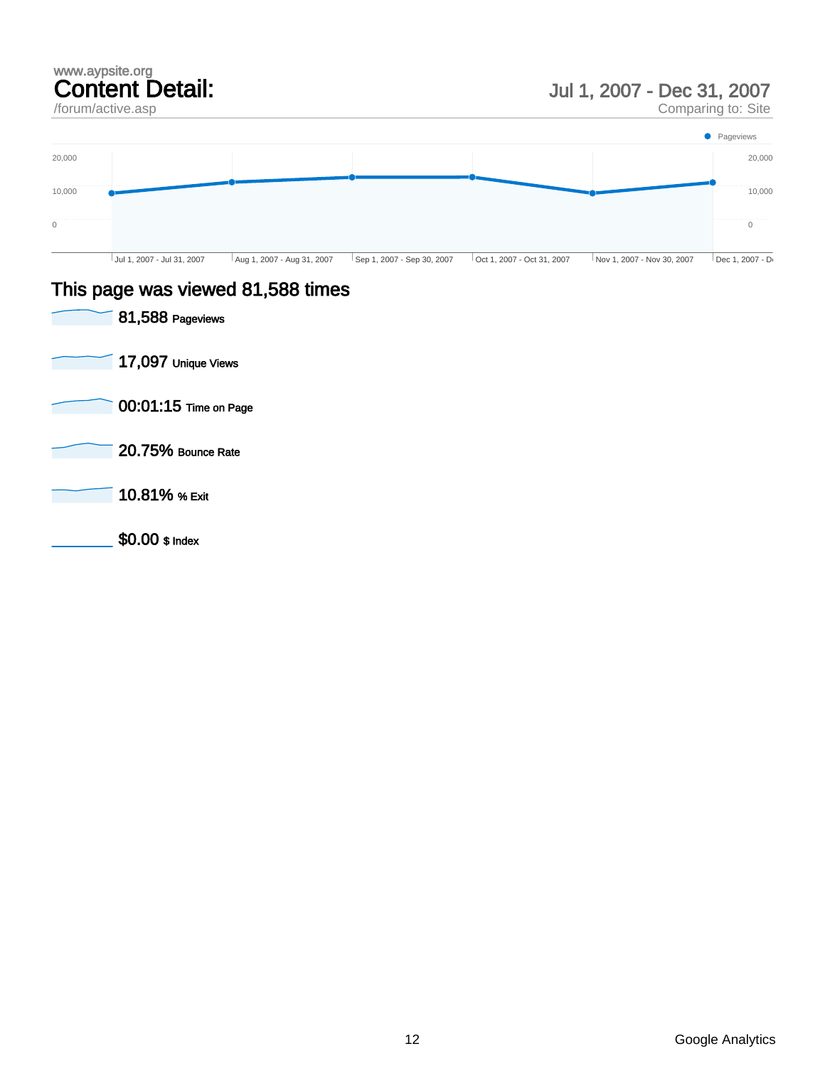### www.aypsite.org Content Detail: /forum/active.asp

## Jul 1, 2007 - Dec 31, 2007

Comparing to: Site



### This page was viewed 81,588 times